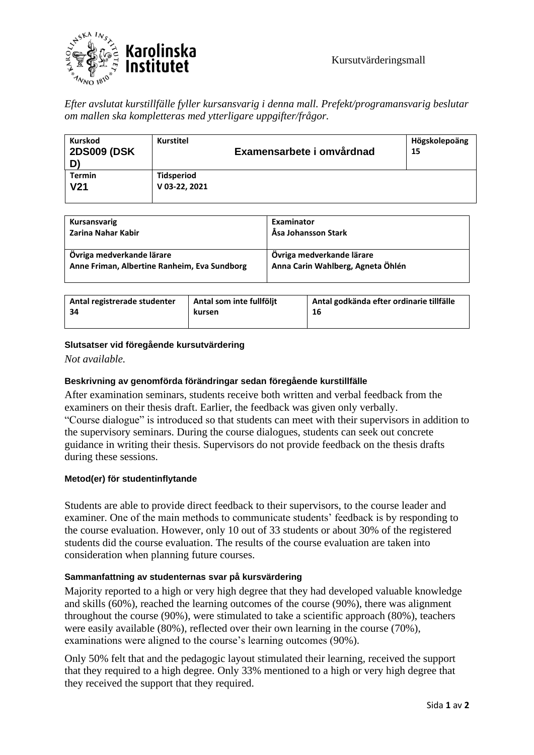

*Efter avslutat kurstillfälle fyller kursansvarig i denna mall. Prefekt/programansvarig beslutar om mallen ska kompletteras med ytterligare uppgifter/frågor.* 

| <b>Kurskod</b><br><b>2DS009 (DSK)</b><br>D) | <b>Kurstitel</b>                   | Examensarbete i omvårdnad | Högskolepoäng<br>15 |
|---------------------------------------------|------------------------------------|---------------------------|---------------------|
| <b>Termin</b><br>V <sub>21</sub>            | <b>Tidsperiod</b><br>V 03-22, 2021 |                           |                     |

| Kursansvarig                                 | Examinator                        |
|----------------------------------------------|-----------------------------------|
| Zarina Nahar Kabir                           | Åsa Johansson Stark               |
| Övriga medverkande lärare                    | Övriga medverkande lärare         |
| Anne Friman, Albertine Ranheim, Eva Sundborg | Anna Carin Wahlberg, Agneta Öhlén |

| Antal registrerade studenter | Antal som inte fullföljt | Antal godkända efter ordinarie tillfälle |
|------------------------------|--------------------------|------------------------------------------|
| -34                          | kursen                   | 16                                       |
|                              |                          |                                          |

## **Slutsatser vid föregående kursutvärdering**

*Not available.*

## **Beskrivning av genomförda förändringar sedan föregående kurstillfälle**

After examination seminars, students receive both written and verbal feedback from the examiners on their thesis draft. Earlier, the feedback was given only verbally. "Course dialogue" is introduced so that students can meet with their supervisors in addition to the supervisory seminars. During the course dialogues, students can seek out concrete guidance in writing their thesis. Supervisors do not provide feedback on the thesis drafts during these sessions.

## **Metod(er) för studentinflytande**

Students are able to provide direct feedback to their supervisors, to the course leader and examiner. One of the main methods to communicate students' feedback is by responding to the course evaluation. However, only 10 out of 33 students or about 30% of the registered students did the course evaluation. The results of the course evaluation are taken into consideration when planning future courses.

#### **Sammanfattning av studenternas svar på kursvärdering**

Majority reported to a high or very high degree that they had developed valuable knowledge and skills (60%), reached the learning outcomes of the course (90%), there was alignment throughout the course (90%), were stimulated to take a scientific approach (80%), teachers were easily available (80%), reflected over their own learning in the course (70%), examinations were aligned to the course's learning outcomes (90%).

Only 50% felt that and the pedagogic layout stimulated their learning, received the support that they required to a high degree. Only 33% mentioned to a high or very high degree that they received the support that they required.